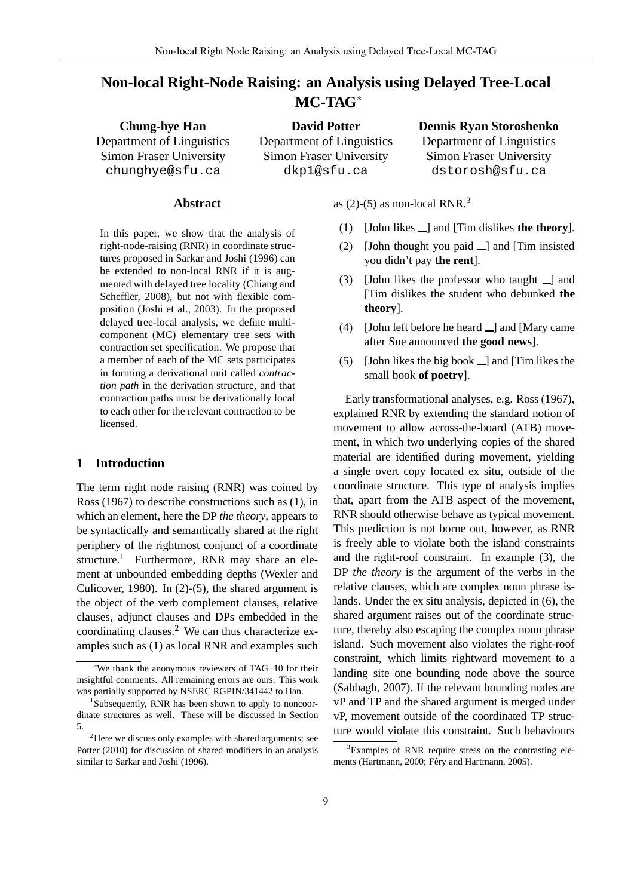# **Non-local Right-Node Raising: an Analysis using Delayed Tree-Local MC-TAG**<sup>∗</sup>

**Chung-hye Han** Department of Linguistics Simon Fraser University chunghye@sfu.ca

**David Potter** Department of Linguistics Simon Fraser University dkp1@sfu.ca

## **Dennis Ryan Storoshenko**

Department of Linguistics Simon Fraser University dstorosh@sfu.ca

### **Abstract**

In this paper, we show that the analysis of right-node-raising (RNR) in coordinate structures proposed in Sarkar and Joshi (1996) can be extended to non-local RNR if it is augmented with delayed tree locality (Chiang and Scheffler, 2008), but not with flexible composition (Joshi et al., 2003). In the proposed delayed tree-local analysis, we define multicomponent (MC) elementary tree sets with contraction set specification. We propose that a member of each of the MC sets participates in forming a derivational unit called *contraction path* in the derivation structure, and that contraction paths must be derivationally local to each other for the relevant contraction to be licensed.

# **1 Introduction**

The term right node raising (RNR) was coined by Ross (1967) to describe constructions such as (1), in which an element, here the DP *the theory*, appears to be syntactically and semantically shared at the right periphery of the rightmost conjunct of a coordinate structure.<sup>1</sup> Furthermore, RNR may share an element at unbounded embedding depths (Wexler and Culicover, 1980). In (2)-(5), the shared argument is the object of the verb complement clauses, relative clauses, adjunct clauses and DPs embedded in the coordinating clauses.<sup>2</sup> We can thus characterize examples such as (1) as local RNR and examples such as  $(2)-(5)$  as non-local RNR.<sup>3</sup>

- (1) [John likes  $\Box$ ] and [Tim dislikes **the theory**].
- (2) [John thought you paid  $\Box$ ] and [Tim insisted you didn't pay **the rent**].
- $(3)$  [John likes the professor who taught  $\Box$ ] and [Tim dislikes the student who debunked **the theory**].
- (4) [John left before he heard  $\Box$ ] and [Mary came after Sue announced **the good news**].
- (5) [John likes the big book  $\Box$ ] and [Tim likes the small book **of poetry**].

Early transformational analyses, e.g. Ross (1967), explained RNR by extending the standard notion of movement to allow across-the-board (ATB) movement, in which two underlying copies of the shared material are identified during movement, yielding a single overt copy located ex situ, outside of the coordinate structure. This type of analysis implies that, apart from the ATB aspect of the movement, RNR should otherwise behave as typical movement. This prediction is not borne out, however, as RNR is freely able to violate both the island constraints and the right-roof constraint. In example (3), the DP *the theory* is the argument of the verbs in the relative clauses, which are complex noun phrase islands. Under the ex situ analysis, depicted in (6), the shared argument raises out of the coordinate structure, thereby also escaping the complex noun phrase island. Such movement also violates the right-roof constraint, which limits rightward movement to a landing site one bounding node above the source (Sabbagh, 2007). If the relevant bounding nodes are vP and TP and the shared argument is merged under vP, movement outside of the coordinated TP structure would violate this constraint. Such behaviours

We thank the anonymous reviewers of TAG+10 for their insightful comments. All remaining errors are ours. This work was partially supported by NSERC RGPIN/341442 to Han.

<sup>&</sup>lt;sup>1</sup>Subsequently, RNR has been shown to apply to noncoordinate structures as well. These will be discussed in Section 5.

<sup>&</sup>lt;sup>2</sup>Here we discuss only examples with shared arguments; see Potter (2010) for discussion of shared modifiers in an analysis similar to Sarkar and Joshi (1996).

 $3Ex$ amples of RNR require stress on the contrasting elements (Hartmann, 2000; Féry and Hartmann, 2005).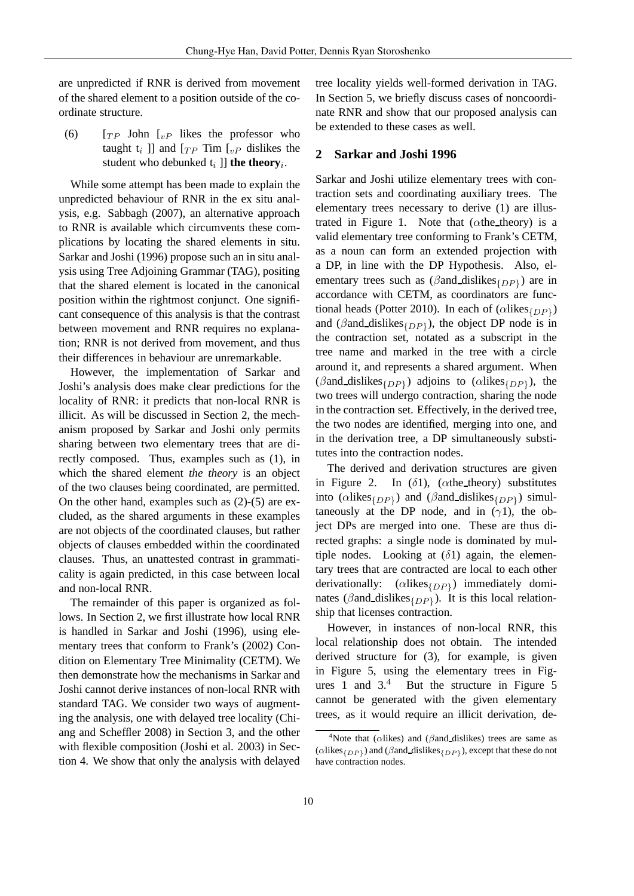are unpredicted if RNR is derived from movement of the shared element to a position outside of the coordinate structure.

(6)  $[T_P$  John  $I_{vP}$  likes the professor who taught  $t_i$  ]] and  $[T_P$  Tim  $[t_P]$  dislikes the student who debunked  $t_i$  ]] **the theory**<sub>*i*</sub>.

While some attempt has been made to explain the unpredicted behaviour of RNR in the ex situ analysis, e.g. Sabbagh (2007), an alternative approach to RNR is available which circumvents these complications by locating the shared elements in situ. Sarkar and Joshi (1996) propose such an in situ analysis using Tree Adjoining Grammar (TAG), positing that the shared element is located in the canonical position within the rightmost conjunct. One significant consequence of this analysis is that the contrast between movement and RNR requires no explanation; RNR is not derived from movement, and thus their differences in behaviour are unremarkable.

However, the implementation of Sarkar and Joshi's analysis does make clear predictions for the locality of RNR: it predicts that non-local RNR is illicit. As will be discussed in Section 2, the mechanism proposed by Sarkar and Joshi only permits sharing between two elementary trees that are directly composed. Thus, examples such as (1), in which the shared element *the theory* is an object of the two clauses being coordinated, are permitted. On the other hand, examples such as (2)-(5) are excluded, as the shared arguments in these examples are not objects of the coordinated clauses, but rather objects of clauses embedded within the coordinated clauses. Thus, an unattested contrast in grammaticality is again predicted, in this case between local and non-local RNR.

The remainder of this paper is organized as follows. In Section 2, we first illustrate how local RNR is handled in Sarkar and Joshi (1996), using elementary trees that conform to Frank's (2002) Condition on Elementary Tree Minimality (CETM). We then demonstrate how the mechanisms in Sarkar and Joshi cannot derive instances of non-local RNR with standard TAG. We consider two ways of augmenting the analysis, one with delayed tree locality (Chiang and Scheffler 2008) in Section 3, and the other with flexible composition (Joshi et al. 2003) in Section 4. We show that only the analysis with delayed

tree locality yields well-formed derivation in TAG. In Section 5, we briefly discuss cases of noncoordinate RNR and show that our proposed analysis can be extended to these cases as well.

#### **2 Sarkar and Joshi 1996**

Sarkar and Joshi utilize elementary trees with contraction sets and coordinating auxiliary trees. The elementary trees necessary to derive (1) are illustrated in Figure 1. Note that  $(\alpha$ the theory) is a valid elementary tree conforming to Frank's CETM, as a noun can form an extended projection with a DP, in line with the DP Hypothesis. Also, elementary trees such as  $(\beta$  and dislikes  $_{\{DP\}}$ ) are in accordance with CETM, as coordinators are functional heads (Potter 2010). In each of  $(\alpha$ likes $_{\{DP\}})$ and ( $\beta$ and dislikes $_{\{DP\}}$ ), the object DP node is in the contraction set, notated as a subscript in the tree name and marked in the tree with a circle around it, and represents a shared argument. When ( $\beta$ and\_dislikes<sub>{DP}</sub>) adjoins to ( $\alpha$ likes<sub>{DP}</sub>), the two trees will undergo contraction, sharing the node in the contraction set. Effectively, in the derived tree, the two nodes are identified, merging into one, and in the derivation tree, a DP simultaneously substitutes into the contraction nodes.

The derived and derivation structures are given in Figure 2. In  $(\delta 1)$ , ( $\alpha$ the theory) substitutes into ( $\alpha$ likes $_{\{DP\}}$ ) and ( $\beta$ and\_dislikes $_{\{DP\}}$ ) simultaneously at the DP node, and in  $(\gamma 1)$ , the object DPs are merged into one. These are thus directed graphs: a single node is dominated by multiple nodes. Looking at  $(\delta 1)$  again, the elementary trees that are contracted are local to each other derivationally:  $(\alpha$ likes $_{\{DP\}})$  immediately dominates ( $\beta$ and\_dislikes<sub>{DP}</sub>). It is this local relationship that licenses contraction.

However, in instances of non-local RNR, this local relationship does not obtain. The intended derived structure for (3), for example, is given in Figure 5, using the elementary trees in Figures 1 and  $3<sup>4</sup>$  But the structure in Figure 5 cannot be generated with the given elementary trees, as it would require an illicit derivation, de-

<sup>&</sup>lt;sup>4</sup>Note that ( $\alpha$ likes) and ( $\beta$ and\_dislikes) trees are same as ( $\alpha$ likes<sub>{DP}</sub>) and ( $\beta$ and dislikes<sub>{DP}</sub>), except that these do not have contraction nodes.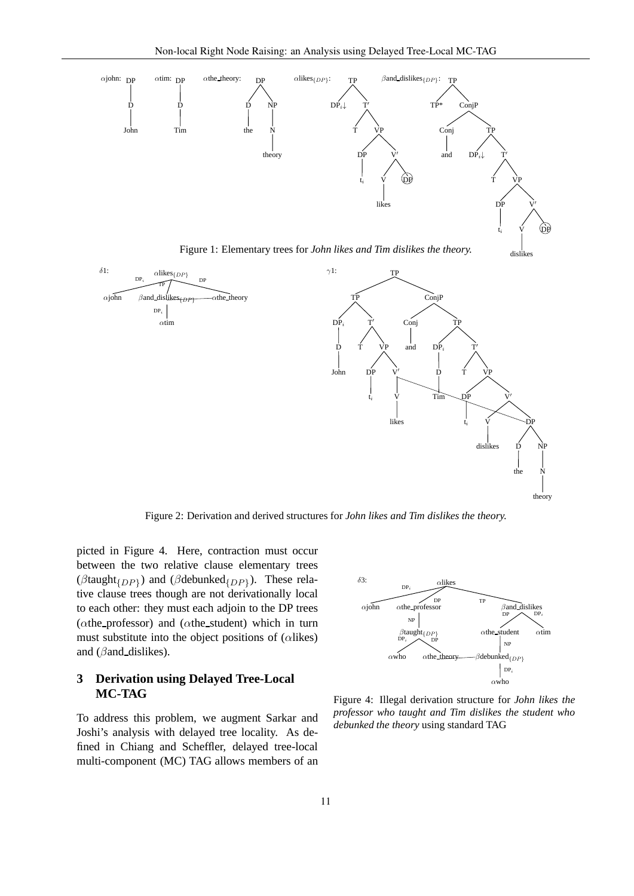

Figure 1: Elementary trees for *John likes and Tim dislikes the theory.*



Figure 2: Derivation and derived structures for *John likes and Tim dislikes the theory.*

picted in Figure 4. Here, contraction must occur between the two relative clause elementary trees ( $\beta$ taught<sub>{DP}</sub>) and ( $\beta$ debunked<sub>{DP}</sub>). These relative clause trees though are not derivationally local to each other: they must each adjoin to the DP trees ( $\alpha$ the professor) and ( $\alpha$ the student) which in turn must substitute into the object positions of ( $\alpha$ likes) and ( $\beta$ and dislikes).

# **3 Derivation using Delayed Tree-Local MC-TAG**

To address this problem, we augment Sarkar and Joshi's analysis with delayed tree locality. As defined in Chiang and Scheffler, delayed tree-local multi-component (MC) TAG allows members of an



Figure 4: Illegal derivation structure for *John likes the professor who taught and Tim dislikes the student who debunked the theory* using standard TAG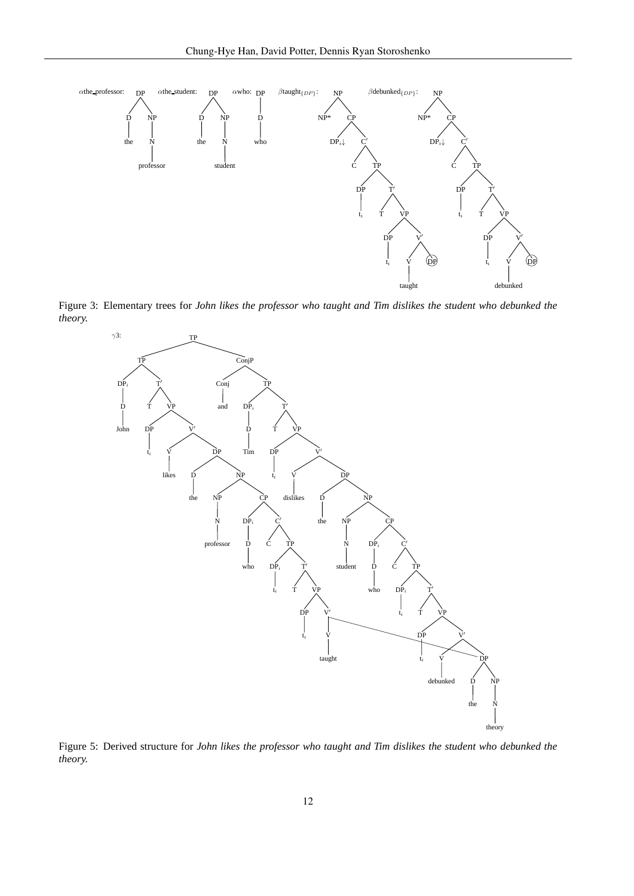

Figure 3: Elementary trees for *John likes the professor who taught and Tim dislikes the student who debunked the theory.*



Figure 5: Derived structure for *John likes the professor who taught and Tim dislikes the student who debunked the theory.*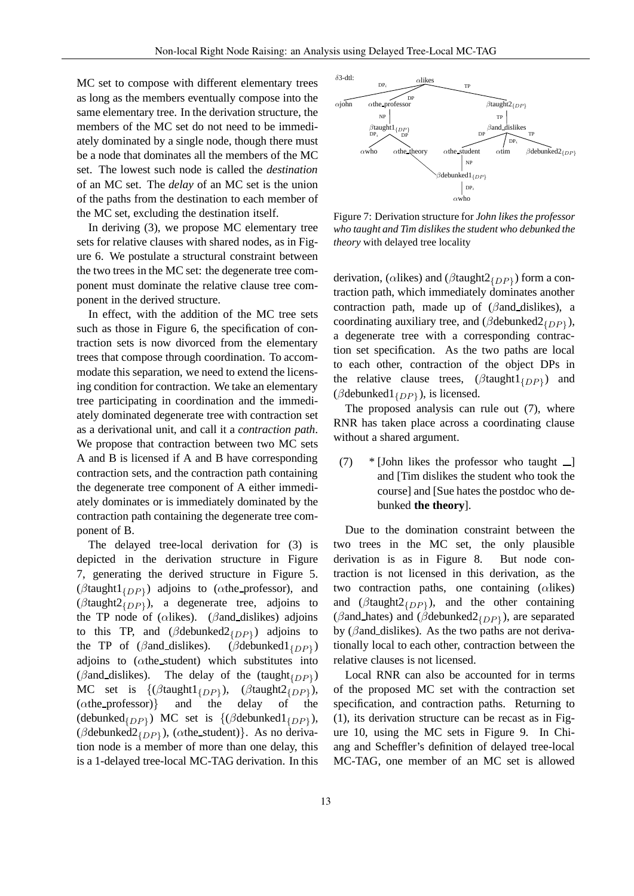MC set to compose with different elementary trees as long as the members eventually compose into the same elementary tree. In the derivation structure, the members of the MC set do not need to be immediately dominated by a single node, though there must be a node that dominates all the members of the MC set. The lowest such node is called the *destination* of an MC set. The *delay* of an MC set is the union of the paths from the destination to each member of the MC set, excluding the destination itself.

In deriving (3), we propose MC elementary tree sets for relative clauses with shared nodes, as in Figure 6. We postulate a structural constraint between the two trees in the MC set: the degenerate tree component must dominate the relative clause tree component in the derived structure.

In effect, with the addition of the MC tree sets such as those in Figure 6, the specification of contraction sets is now divorced from the elementary trees that compose through coordination. To accommodate this separation, we need to extend the licensing condition for contraction. We take an elementary tree participating in coordination and the immediately dominated degenerate tree with contraction set as a derivational unit, and call it a *contraction path*. We propose that contraction between two MC sets A and B is licensed if A and B have corresponding contraction sets, and the contraction path containing the degenerate tree component of A either immediately dominates or is immediately dominated by the contraction path containing the degenerate tree component of B.

The delayed tree-local derivation for (3) is depicted in the derivation structure in Figure 7, generating the derived structure in Figure 5. ( $\beta$ taught1<sub>{DP}</sub>) adjoins to ( $\alpha$ the\_professor), and ( $\beta$ taught2<sub>{DP}</sub>), a degenerate tree, adjoins to the TP node of ( $\alpha$ likes). ( $\beta$ and dislikes) adjoins to this TP, and  $(\beta$ debunked $2_{\{DP\}})$  adjoins to the TP of  $(\beta$ and dislikes).  $(\beta$ debunked $1_{IDPI})$ adjoins to  $(\alpha$ the\_student) which substitutes into ( $\beta$ and\_dislikes). The delay of the (taught $_{\{DP\}}$ ) MC set is  $\{(\beta \text{taught1}_{\{DP\}}), (\alpha \text{the\_professor})\}$  and the ),  $(\beta$ taught $2_{\{DP\}}$ ), (αthe professor)} and the delay of the (debunked $_{\{DP\}}$ ) MC set is  $\{(\beta$ debunked $1_{\{DP\}})$ , ( $\beta$ debunked $2_{\{DP\}}$ ), ( $\alpha$ the\_student)}. As no derivation node is a member of more than one delay, this is a 1-delayed tree-local MC-TAG derivation. In this



Figure 7: Derivation structure for *John likes the professor who taught and Tim dislikes the student who debunked the theory* with delayed tree locality

derivation, ( $\alpha$ likes) and ( $\beta$ taught $2_{\{DP\}}$ ) form a contraction path, which immediately dominates another contraction path, made up of  $(\beta$ and dislikes), a coordinating auxiliary tree, and ( $\beta$ debunked $2_{\{DP\}}$ ), a degenerate tree with a corresponding contraction set specification. As the two paths are local to each other, contraction of the object DPs in the relative clause trees,  $(\beta \text{taught1}_{\{DP\}})$  and ( $\beta$ debunked $1_{\{DP\}}$ ), is licensed.

The proposed analysis can rule out (7), where RNR has taken place across a coordinating clause without a shared argument.

 $(7)$  \* [John likes the professor who taught  $\Box$ ] and [Tim dislikes the student who took the course] and [Sue hates the postdoc who debunked **the theory**].

Due to the domination constraint between the two trees in the MC set, the only plausible derivation is as in Figure 8. But node contraction is not licensed in this derivation, as the two contraction paths, one containing  $(\alpha$ likes) and ( $\beta$ taught $2_{\{DP\}}$ ), and the other containing ( $\beta$ and\_hates) and ( $\beta$ debunked2<sub>{DP}</sub>), are separated by ( $\beta$ and dislikes). As the two paths are not derivationally local to each other, contraction between the relative clauses is not licensed.

Local RNR can also be accounted for in terms of the proposed MC set with the contraction set specification, and contraction paths. Returning to (1), its derivation structure can be recast as in Figure 10, using the MC sets in Figure 9. In Chiang and Scheffler's definition of delayed tree-local MC-TAG, one member of an MC set is allowed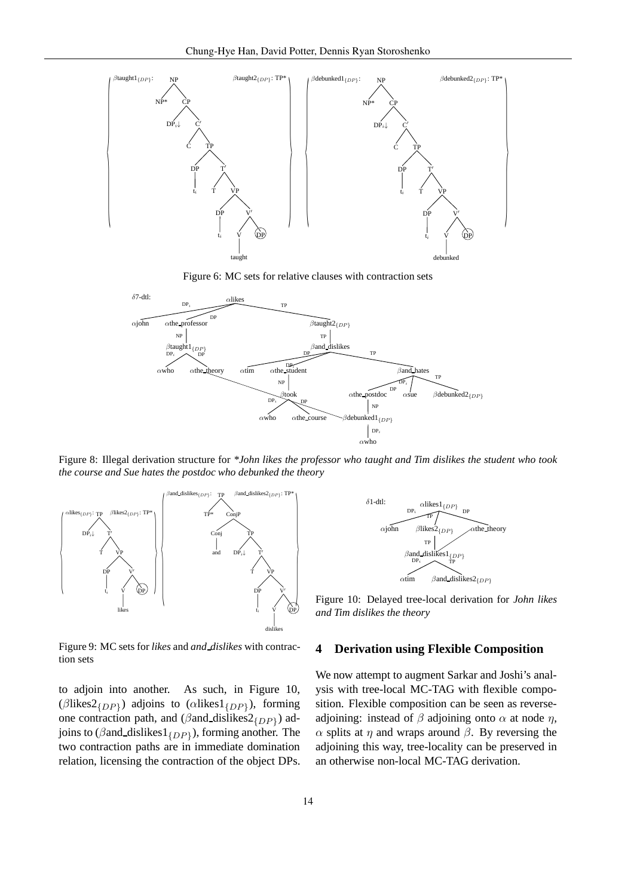

Figure 6: MC sets for relative clauses with contraction sets



Figure 8: Illegal derivation structure for *\*John likes the professor who taught and Tim dislikes the student who took the course and Sue hates the postdoc who debunked the theory*



Figure 9: MC sets for *likes* and *and dislikes* with contraction sets

to adjoin into another. As such, in Figure 10, ( $\beta$ likes $2_{\{DP\}}$ ) adjoins to ( $\alpha$ likes $1_{\{DP\}}$ ), forming one contraction path, and ( $\beta$ and\_dislikes $2_{\{DP\}}$ ) adjoins to ( $\beta$ and\_dislikes $1_{\{DP\}}$ ), forming another. The two contraction paths are in immediate domination relation, licensing the contraction of the object DPs.



Figure 10: Delayed tree-local derivation for *John likes and Tim dislikes the theory*

### **4 Derivation using Flexible Composition**

We now attempt to augment Sarkar and Joshi's analysis with tree-local MC-TAG with flexible composition. Flexible composition can be seen as reverseadjoining: instead of  $\beta$  adjoining onto  $\alpha$  at node  $\eta$ ,  $\alpha$  splits at η and wraps around  $\beta$ . By reversing the adjoining this way, tree-locality can be preserved in an otherwise non-local MC-TAG derivation.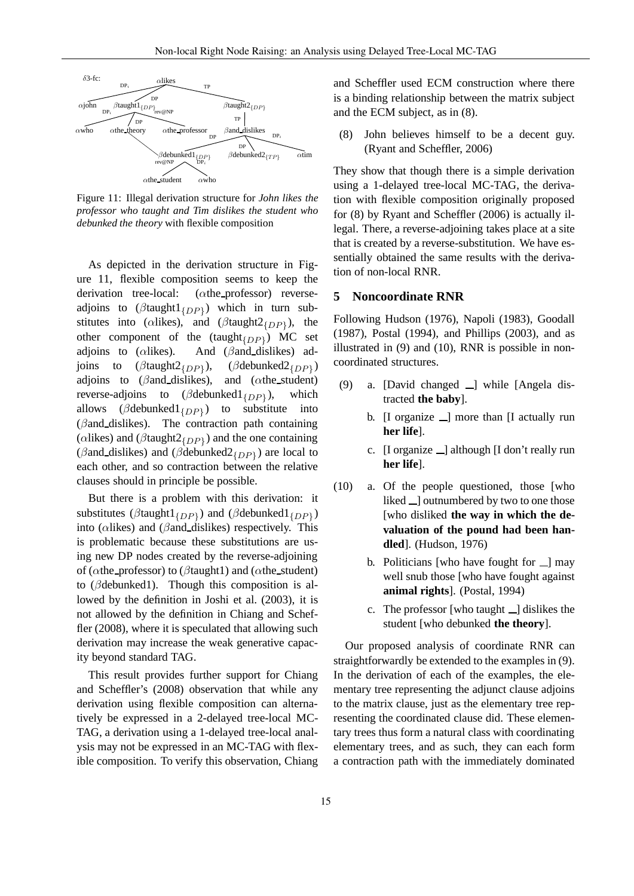

Figure 11: Illegal derivation structure for *John likes the professor who taught and Tim dislikes the student who debunked the theory* with flexible composition

As depicted in the derivation structure in Figure 11, flexible composition seems to keep the derivation tree-local: (αthe professor) reverseadjoins to  $(\beta$ taught $1_{\{DP\}})$  which in turn substitutes into ( $\alpha$ likes), and ( $\beta$ taught2<sub>{DP}</sub>), the other component of the  $(taught_{\{DP\}})$  MC set adjoins to ( $\alpha$ likes). And ( $\beta$ and dislikes) adjoins to  $(\beta$ taught2<sub>{DP}</sub>), ),  $(\beta$ debunked $2_{\{DP\}})$ adjoins to ( $\beta$ and dislikes), and ( $\alpha$ the student) reverse-adjoins to  $(\beta$ debunked $1_{\{DP\}})$ , which allows ( $\beta$ debunked $1_{\{DP\}}$ ) to substitute into  $(\beta$ and dislikes). The contraction path containing ( $\alpha$ likes) and ( $\beta$ taught $2_{\{DP\}}$ ) and the one containing ( $\beta$ and\_dislikes) and ( $\beta$ debunked $2_{\{DP\}}$ ) are local to each other, and so contraction between the relative clauses should in principle be possible.

But there is a problem with this derivation: it substitutes ( $\beta$ taught $1_{\{DP\}}$ ) and ( $\beta$ debunked $1_{\{DP\}}$ ) into ( $\alpha$ likes) and ( $\beta$ and dislikes) respectively. This is problematic because these substitutions are using new DP nodes created by the reverse-adjoining of ( $\alpha$ the professor) to ( $\beta$ taught1) and ( $\alpha$ the student) to (βdebunked1). Though this composition is allowed by the definition in Joshi et al. (2003), it is not allowed by the definition in Chiang and Scheffler (2008), where it is speculated that allowing such derivation may increase the weak generative capacity beyond standard TAG.

This result provides further support for Chiang and Scheffler's (2008) observation that while any derivation using flexible composition can alternatively be expressed in a 2-delayed tree-local MC-TAG, a derivation using a 1-delayed tree-local analysis may not be expressed in an MC-TAG with flexible composition. To verify this observation, Chiang and Scheffler used ECM construction where there is a binding relationship between the matrix subject and the ECM subject, as in (8).

(8) John believes himself to be a decent guy. (Ryant and Scheffler, 2006)

They show that though there is a simple derivation using a 1-delayed tree-local MC-TAG, the derivation with flexible composition originally proposed for (8) by Ryant and Scheffler (2006) is actually illegal. There, a reverse-adjoining takes place at a site that is created by a reverse-substitution. We have essentially obtained the same results with the derivation of non-local RNR.

## **5 Noncoordinate RNR**

Following Hudson (1976), Napoli (1983), Goodall (1987), Postal (1994), and Phillips (2003), and as illustrated in (9) and (10), RNR is possible in noncoordinated structures.

- (9) a. [David changed  $\Box$ ] while [Angela distracted **the baby**].
	- b.  $[I]$  organize  $[]$  more than  $[I]$  actually run **her life**].
	- c.  $[I$  organize  $\Box$  although  $[I$  don't really run **her life**].
- (10) a. Of the people questioned, those [who liked  $\Box$  outnumbered by two to one those [who disliked **the way in which the devaluation of the pound had been handled**]. (Hudson, 1976)
	- b. Politicians [who have fought for  $\Box$ ] may well snub those [who have fought against **animal rights**]. (Postal, 1994)
	- c. The professor [who taught  $\Box$ ] dislikes the student [who debunked **the theory**].

Our proposed analysis of coordinate RNR can straightforwardly be extended to the examples in (9). In the derivation of each of the examples, the elementary tree representing the adjunct clause adjoins to the matrix clause, just as the elementary tree representing the coordinated clause did. These elementary trees thus form a natural class with coordinating elementary trees, and as such, they can each form a contraction path with the immediately dominated